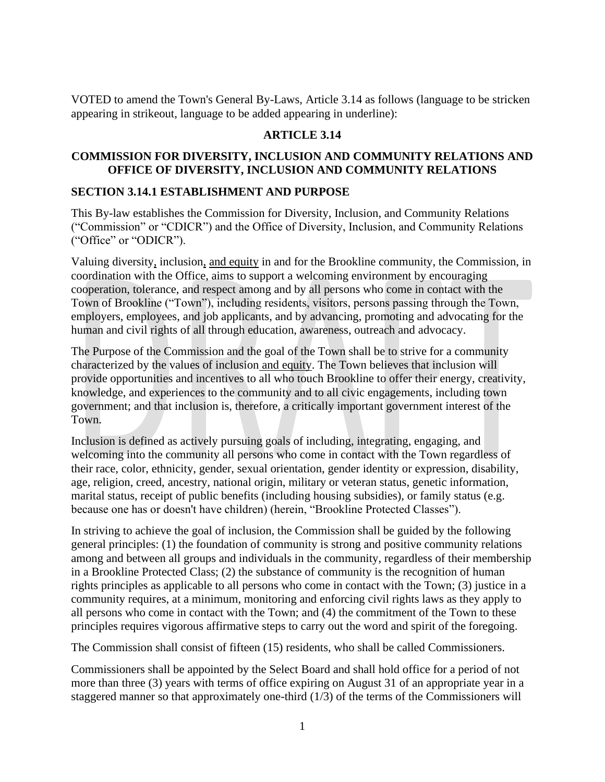VOTED to amend the Town's General By-Laws, Article 3.14 as follows (language to be stricken appearing in strikeout, language to be added appearing in underline):

#### **ARTICLE 3.14**

#### **COMMISSION FOR DIVERSITY, INCLUSION AND COMMUNITY RELATIONS AND OFFICE OF DIVERSITY, INCLUSION AND COMMUNITY RELATIONS**

#### **SECTION 3.14.1 ESTABLISHMENT AND PURPOSE**

This By-law establishes the Commission for Diversity, Inclusion, and Community Relations ("Commission" or "CDICR") and the Office of Diversity, Inclusion, and Community Relations ("Office" or "ODICR").

Valuing diversity, inclusion, and equity in and for the Brookline community, the Commission, in coordination with the Office, aims to support a welcoming environment by encouraging cooperation, tolerance, and respect among and by all persons who come in contact with the Town of Brookline ("Town"), including residents, visitors, persons passing through the Town, employers, employees, and job applicants, and by advancing, promoting and advocating for the human and civil rights of all through education, awareness, outreach and advocacy.

The Purpose of the Commission and the goal of the Town shall be to strive for a community characterized by the values of inclusion and equity. The Town believes that inclusion will provide opportunities and incentives to all who touch Brookline to offer their energy, creativity, knowledge, and experiences to the community and to all civic engagements, including town government; and that inclusion is, therefore, a critically important government interest of the Town.

Inclusion is defined as actively pursuing goals of including, integrating, engaging, and welcoming into the community all persons who come in contact with the Town regardless of their race, color, ethnicity, gender, sexual orientation, gender identity or expression, disability, age, religion, creed, ancestry, national origin, military or veteran status, genetic information, marital status, receipt of public benefits (including housing subsidies), or family status (e.g. because one has or doesn't have children) (herein, "Brookline Protected Classes").

In striving to achieve the goal of inclusion, the Commission shall be guided by the following general principles: (1) the foundation of community is strong and positive community relations among and between all groups and individuals in the community, regardless of their membership in a Brookline Protected Class; (2) the substance of community is the recognition of human rights principles as applicable to all persons who come in contact with the Town; (3) justice in a community requires, at a minimum, monitoring and enforcing civil rights laws as they apply to all persons who come in contact with the Town; and (4) the commitment of the Town to these principles requires vigorous affirmative steps to carry out the word and spirit of the foregoing.

The Commission shall consist of fifteen (15) residents, who shall be called Commissioners.

Commissioners shall be appointed by the Select Board and shall hold office for a period of not more than three (3) years with terms of office expiring on August 31 of an appropriate year in a staggered manner so that approximately one-third (1/3) of the terms of the Commissioners will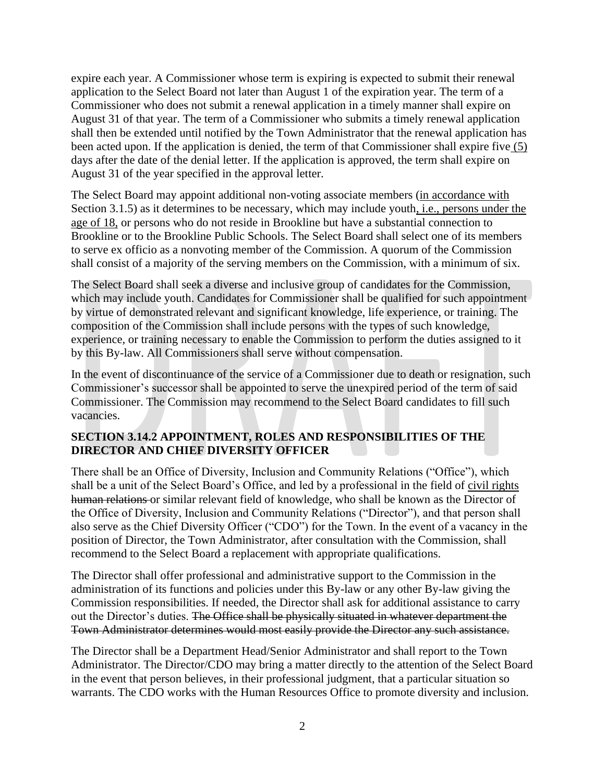expire each year. A Commissioner whose term is expiring is expected to submit their renewal application to the Select Board not later than August 1 of the expiration year. The term of a Commissioner who does not submit a renewal application in a timely manner shall expire on August 31 of that year. The term of a Commissioner who submits a timely renewal application shall then be extended until notified by the Town Administrator that the renewal application has been acted upon. If the application is denied, the term of that Commissioner shall expire five (5) days after the date of the denial letter. If the application is approved, the term shall expire on August 31 of the year specified in the approval letter.

The Select Board may appoint additional non-voting associate members (in accordance with Section 3.1.5) as it determines to be necessary, which may include youth, i.e., persons under the age of 18, or persons who do not reside in Brookline but have a substantial connection to Brookline or to the Brookline Public Schools. The Select Board shall select one of its members to serve ex officio as a nonvoting member of the Commission. A quorum of the Commission shall consist of a majority of the serving members on the Commission, with a minimum of six.

The Select Board shall seek a diverse and inclusive group of candidates for the Commission, which may include youth. Candidates for Commissioner shall be qualified for such appointment by virtue of demonstrated relevant and significant knowledge, life experience, or training. The composition of the Commission shall include persons with the types of such knowledge, experience, or training necessary to enable the Commission to perform the duties assigned to it by this By-law. All Commissioners shall serve without compensation.

In the event of discontinuance of the service of a Commissioner due to death or resignation, such Commissioner's successor shall be appointed to serve the unexpired period of the term of said Commissioner. The Commission may recommend to the Select Board candidates to fill such vacancies.

## **SECTION 3.14.2 APPOINTMENT, ROLES AND RESPONSIBILITIES OF THE DIRECTOR AND CHIEF DIVERSITY OFFICER**

There shall be an Office of Diversity, Inclusion and Community Relations ("Office"), which shall be a unit of the Select Board's Office, and led by a professional in the field of civil rights human relations or similar relevant field of knowledge, who shall be known as the Director of the Office of Diversity, Inclusion and Community Relations ("Director"), and that person shall also serve as the Chief Diversity Officer ("CDO") for the Town. In the event of a vacancy in the position of Director, the Town Administrator, after consultation with the Commission, shall recommend to the Select Board a replacement with appropriate qualifications.

The Director shall offer professional and administrative support to the Commission in the administration of its functions and policies under this By-law or any other By-law giving the Commission responsibilities. If needed, the Director shall ask for additional assistance to carry out the Director's duties. The Office shall be physically situated in whatever department the Town Administrator determines would most easily provide the Director any such assistance.

The Director shall be a Department Head/Senior Administrator and shall report to the Town Administrator. The Director/CDO may bring a matter directly to the attention of the Select Board in the event that person believes, in their professional judgment, that a particular situation so warrants. The CDO works with the Human Resources Office to promote diversity and inclusion.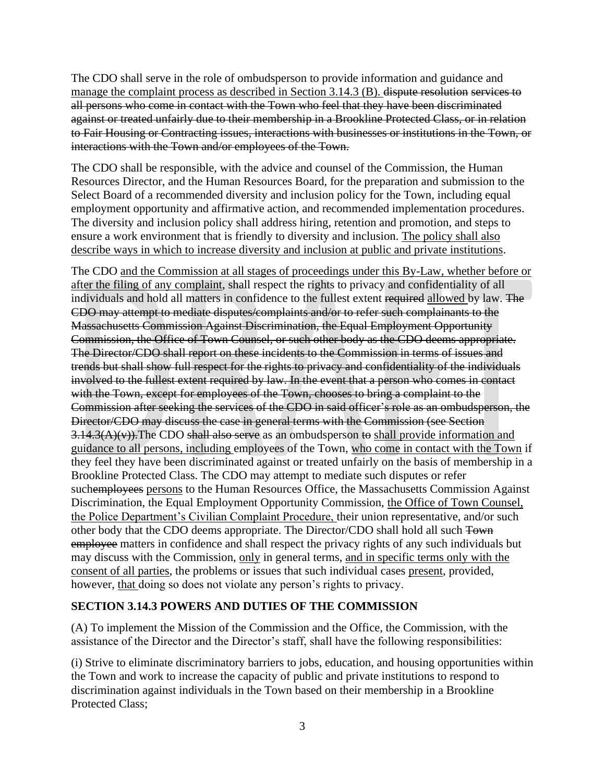The CDO shall serve in the role of ombudsperson to provide information and guidance and manage the complaint process as described in Section 3.14.3 (B). dispute resolution services to all persons who come in contact with the Town who feel that they have been discriminated against or treated unfairly due to their membership in a Brookline Protected Class, or in relation to Fair Housing or Contracting issues, interactions with businesses or institutions in the Town, or interactions with the Town and/or employees of the Town.

The CDO shall be responsible, with the advice and counsel of the Commission, the Human Resources Director, and the Human Resources Board, for the preparation and submission to the Select Board of a recommended diversity and inclusion policy for the Town, including equal employment opportunity and affirmative action, and recommended implementation procedures. The diversity and inclusion policy shall address hiring, retention and promotion, and steps to ensure a work environment that is friendly to diversity and inclusion. The policy shall also describe ways in which to increase diversity and inclusion at public and private institutions.

The CDO and the Commission at all stages of proceedings under this By-Law, whether before or after the filing of any complaint, shall respect the rights to privacy and confidentiality of all individuals and hold all matters in confidence to the fullest extent required allowed by law. The CDO may attempt to mediate disputes/complaints and/or to refer such complainants to the Massachusetts Commission Against Discrimination, the Equal Employment Opportunity Commission, the Office of Town Counsel, or such other body as the CDO deems appropriate. The Director/CDO shall report on these incidents to the Commission in terms of issues and trends but shall show full respect for the rights to privacy and confidentiality of the individuals involved to the fullest extent required by law. In the event that a person who comes in contact with the Town, except for employees of the Town, chooses to bring a complaint to the Commission after seeking the services of the CDO in said officer's role as an ombudsperson, the Director/CDO may discuss the case in general terms with the Commission (see Section  $3.14.3(A)(v)$ . The CDO shall also serve as an ombudsperson to shall provide information and guidance to all persons, including employees of the Town, who come in contact with the Town if they feel they have been discriminated against or treated unfairly on the basis of membership in a Brookline Protected Class. The CDO may attempt to mediate such disputes or refer suchemployees persons to the Human Resources Office, the Massachusetts Commission Against Discrimination, the Equal Employment Opportunity Commission, the Office of Town Counsel, the Police Department's Civilian Complaint Procedure, their union representative, and/or such other body that the CDO deems appropriate. The Director/CDO shall hold all such Town employee matters in confidence and shall respect the privacy rights of any such individuals but may discuss with the Commission, only in general terms, and in specific terms only with the consent of all parties, the problems or issues that such individual cases present, provided, however, that doing so does not violate any person's rights to privacy.

## **SECTION 3.14.3 POWERS AND DUTIES OF THE COMMISSION**

(A) To implement the Mission of the Commission and the Office, the Commission, with the assistance of the Director and the Director's staff, shall have the following responsibilities:

(i) Strive to eliminate discriminatory barriers to jobs, education, and housing opportunities within the Town and work to increase the capacity of public and private institutions to respond to discrimination against individuals in the Town based on their membership in a Brookline Protected Class;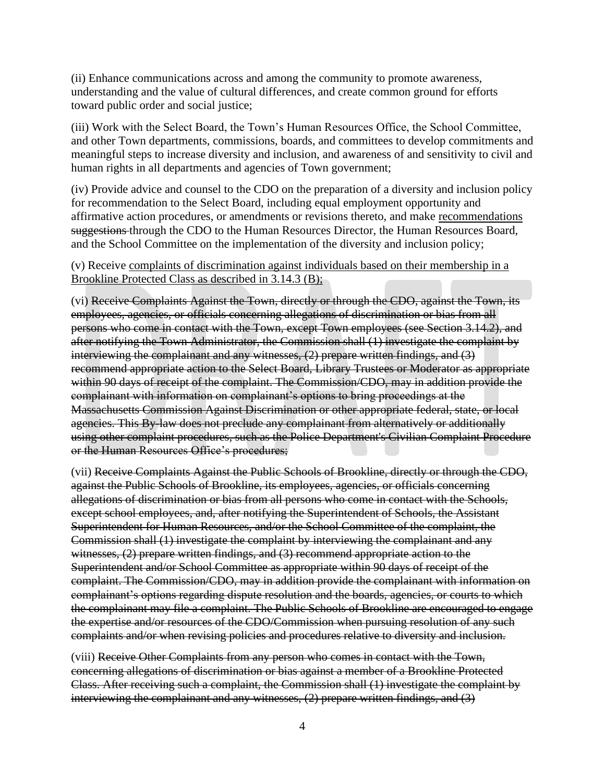(ii) Enhance communications across and among the community to promote awareness, understanding and the value of cultural differences, and create common ground for efforts toward public order and social justice;

(iii) Work with the Select Board, the Town's Human Resources Office, the School Committee, and other Town departments, commissions, boards, and committees to develop commitments and meaningful steps to increase diversity and inclusion, and awareness of and sensitivity to civil and human rights in all departments and agencies of Town government;

(iv) Provide advice and counsel to the CDO on the preparation of a diversity and inclusion policy for recommendation to the Select Board, including equal employment opportunity and affirmative action procedures, or amendments or revisions thereto, and make recommendations suggestions through the CDO to the Human Resources Director, the Human Resources Board, and the School Committee on the implementation of the diversity and inclusion policy;

#### (v) Receive complaints of discrimination against individuals based on their membership in a Brookline Protected Class as described in 3.14.3 (B);

(vi) Receive Complaints Against the Town, directly or through the CDO, against the Town, its employees, agencies, or officials concerning allegations of discrimination or bias from all persons who come in contact with the Town, except Town employees (see Section 3.14.2), and after notifying the Town Administrator, the Commission shall (1) investigate the complaint by interviewing the complainant and any witnesses, (2) prepare written findings, and (3) recommend appropriate action to the Select Board, Library Trustees or Moderator as appropriate within 90 days of receipt of the complaint. The Commission/CDO, may in addition provide the complainant with information on complainant's options to bring proceedings at the Massachusetts Commission Against Discrimination or other appropriate federal, state, or local agencies. This By-law does not preclude any complainant from alternatively or additionally using other complaint procedures, such as the Police Department's Civilian Complaint Procedure or the Human Resources Office's procedures;

(vii) Receive Complaints Against the Public Schools of Brookline, directly or through the CDO, against the Public Schools of Brookline, its employees, agencies, or officials concerning allegations of discrimination or bias from all persons who come in contact with the Schools, except school employees, and, after notifying the Superintendent of Schools, the Assistant Superintendent for Human Resources, and/or the School Committee of the complaint, the Commission shall (1) investigate the complaint by interviewing the complainant and any witnesses, (2) prepare written findings, and (3) recommend appropriate action to the Superintendent and/or School Committee as appropriate within 90 days of receipt of the complaint. The Commission/CDO, may in addition provide the complainant with information on complainant's options regarding dispute resolution and the boards, agencies, or courts to which the complainant may file a complaint. The Public Schools of Brookline are encouraged to engage the expertise and/or resources of the CDO/Commission when pursuing resolution of any such complaints and/or when revising policies and procedures relative to diversity and inclusion.

(viii) Receive Other Complaints from any person who comes in contact with the Town, concerning allegations of discrimination or bias against a member of a Brookline Protected Class. After receiving such a complaint, the Commission shall (1) investigate the complaint by interviewing the complainant and any witnesses, (2) prepare written findings, and (3)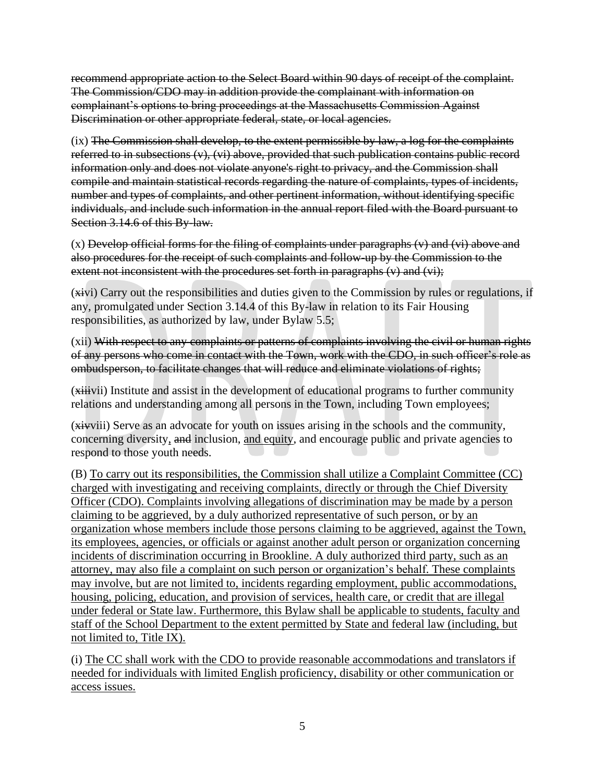recommend appropriate action to the Select Board within 90 days of receipt of the complaint. The Commission/CDO may in addition provide the complainant with information on complainant's options to bring proceedings at the Massachusetts Commission Against Discrimination or other appropriate federal, state, or local agencies.

(ix) The Commission shall develop, to the extent permissible by law, a log for the complaints referred to in subsections  $(v)$ ,  $(vi)$  above, provided that such publication contains public record information only and does not violate anyone's right to privacy, and the Commission shall compile and maintain statistical records regarding the nature of complaints, types of incidents, number and types of complaints, and other pertinent information, without identifying specific individuals, and include such information in the annual report filed with the Board pursuant to Section 3.14.6 of this By-law.

(x) Develop official forms for the filing of complaints under paragraphs (v) and (vi) above and also procedures for the receipt of such complaints and follow-up by the Commission to the extent not inconsistent with the procedures set forth in paragraphs (v) and (vi);

(xivi) Carry out the responsibilities and duties given to the Commission by rules or regulations, if any, promulgated under Section 3.14.4 of this By-law in relation to its Fair Housing responsibilities, as authorized by law, under Bylaw 5.5;

(xii) With respect to any complaints or patterns of complaints involving the civil or human rights of any persons who come in contact with the Town, work with the CDO, in such officer's role as ombudsperson, to facilitate changes that will reduce and eliminate violations of rights;

(xiiivii) Institute and assist in the development of educational programs to further community relations and understanding among all persons in the Town, including Town employees;

(xivviii) Serve as an advocate for youth on issues arising in the schools and the community, concerning diversity, and inclusion, and equity, and encourage public and private agencies to respond to those youth needs.

(B) To carry out its responsibilities, the Commission shall utilize a Complaint Committee (CC) charged with investigating and receiving complaints, directly or through the Chief Diversity Officer (CDO). Complaints involving allegations of discrimination may be made by a person claiming to be aggrieved, by a duly authorized representative of such person, or by an organization whose members include those persons claiming to be aggrieved, against the Town, its employees, agencies, or officials or against another adult person or organization concerning incidents of discrimination occurring in Brookline. A duly authorized third party, such as an attorney, may also file a complaint on such person or organization's behalf. These complaints may involve, but are not limited to, incidents regarding employment, public accommodations, housing, policing, education, and provision of services, health care, or credit that are illegal under federal or State law. Furthermore, this Bylaw shall be applicable to students, faculty and staff of the School Department to the extent permitted by State and federal law (including, but not limited to, Title IX).

(i) The CC shall work with the CDO to provide reasonable accommodations and translators if needed for individuals with limited English proficiency, disability or other communication or access issues.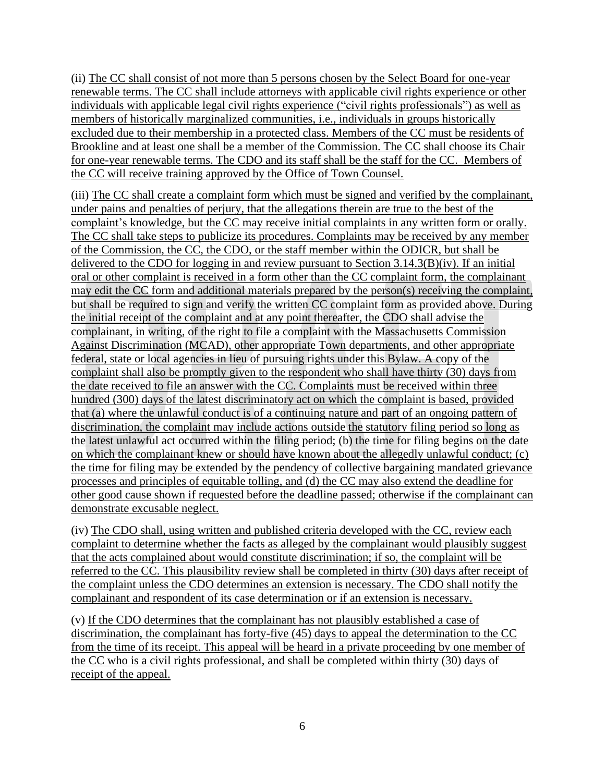(ii) The CC shall consist of not more than 5 persons chosen by the Select Board for one-year renewable terms. The CC shall include attorneys with applicable civil rights experience or other individuals with applicable legal civil rights experience ("civil rights professionals") as well as members of historically marginalized communities, i.e., individuals in groups historically excluded due to their membership in a protected class. Members of the CC must be residents of Brookline and at least one shall be a member of the Commission. The CC shall choose its Chair for one-year renewable terms. The CDO and its staff shall be the staff for the CC. Members of the CC will receive training approved by the Office of Town Counsel.

(iii) The CC shall create a complaint form which must be signed and verified by the complainant, under pains and penalties of perjury, that the allegations therein are true to the best of the complaint's knowledge, but the CC may receive initial complaints in any written form or orally. The CC shall take steps to publicize its procedures. Complaints may be received by any member of the Commission, the CC, the CDO, or the staff member within the ODICR, but shall be delivered to the CDO for logging in and review pursuant to Section 3.14.3(B)(iv). If an initial oral or other complaint is received in a form other than the CC complaint form, the complainant may edit the CC form and additional materials prepared by the person(s) receiving the complaint, but shall be required to sign and verify the written CC complaint form as provided above. During the initial receipt of the complaint and at any point thereafter, the CDO shall advise the complainant, in writing, of the right to file a complaint with the Massachusetts Commission Against Discrimination (MCAD), other appropriate Town departments, and other appropriate federal, state or local agencies in lieu of pursuing rights under this Bylaw. A copy of the complaint shall also be promptly given to the respondent who shall have thirty (30) days from the date received to file an answer with the CC. Complaints must be received within three hundred (300) days of the latest discriminatory act on which the complaint is based, provided that (a) where the unlawful conduct is of a continuing nature and part of an ongoing pattern of discrimination, the complaint may include actions outside the statutory filing period so long as the latest unlawful act occurred within the filing period; (b) the time for filing begins on the date on which the complainant knew or should have known about the allegedly unlawful conduct; (c) the time for filing may be extended by the pendency of collective bargaining mandated grievance processes and principles of equitable tolling, and (d) the CC may also extend the deadline for other good cause shown if requested before the deadline passed; otherwise if the complainant can demonstrate excusable neglect.

(iv) The CDO shall, using written and published criteria developed with the CC, review each complaint to determine whether the facts as alleged by the complainant would plausibly suggest that the acts complained about would constitute discrimination; if so, the complaint will be referred to the CC. This plausibility review shall be completed in thirty (30) days after receipt of the complaint unless the CDO determines an extension is necessary. The CDO shall notify the complainant and respondent of its case determination or if an extension is necessary.

(v) If the CDO determines that the complainant has not plausibly established a case of discrimination, the complainant has forty-five (45) days to appeal the determination to the CC from the time of its receipt. This appeal will be heard in a private proceeding by one member of the CC who is a civil rights professional, and shall be completed within thirty (30) days of receipt of the appeal.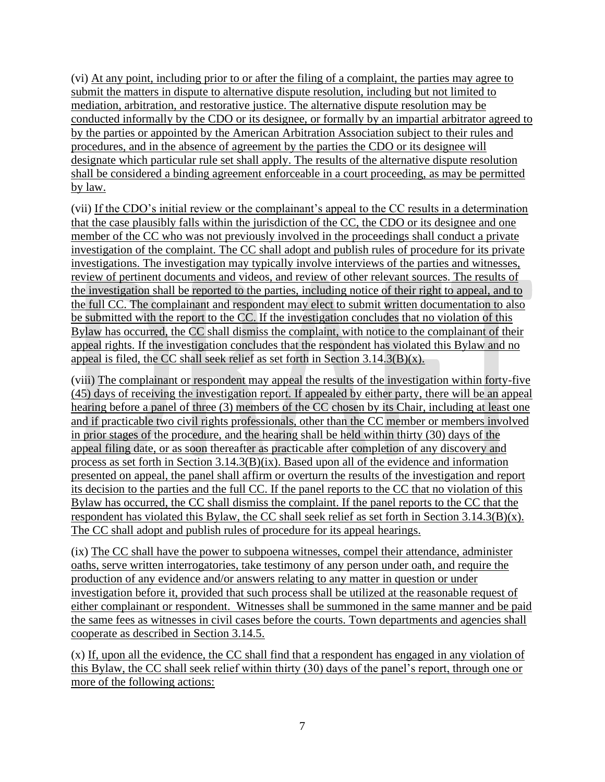(vi) At any point, including prior to or after the filing of a complaint, the parties may agree to submit the matters in dispute to alternative dispute resolution, including but not limited to mediation, arbitration, and restorative justice. The alternative dispute resolution may be conducted informally by the CDO or its designee, or formally by an impartial arbitrator agreed to by the parties or appointed by the American Arbitration Association subject to their rules and procedures, and in the absence of agreement by the parties the CDO or its designee will designate which particular rule set shall apply. The results of the alternative dispute resolution shall be considered a binding agreement enforceable in a court proceeding, as may be permitted by law.

(vii) If the CDO's initial review or the complainant's appeal to the CC results in a determination that the case plausibly falls within the jurisdiction of the CC, the CDO or its designee and one member of the CC who was not previously involved in the proceedings shall conduct a private investigation of the complaint. The CC shall adopt and publish rules of procedure for its private investigations. The investigation may typically involve interviews of the parties and witnesses, review of pertinent documents and videos, and review of other relevant sources. The results of the investigation shall be reported to the parties, including notice of their right to appeal, and to the full CC. The complainant and respondent may elect to submit written documentation to also be submitted with the report to the CC. If the investigation concludes that no violation of this Bylaw has occurred, the CC shall dismiss the complaint, with notice to the complainant of their appeal rights. If the investigation concludes that the respondent has violated this Bylaw and no appeal is filed, the CC shall seek relief as set forth in Section 3.14.3(B)(x).

(viii) The complainant or respondent may appeal the results of the investigation within forty-five (45) days of receiving the investigation report. If appealed by either party, there will be an appeal hearing before a panel of three (3) members of the CC chosen by its Chair, including at least one and if practicable two civil rights professionals, other than the CC member or members involved in prior stages of the procedure, and the hearing shall be held within thirty (30) days of the appeal filing date, or as soon thereafter as practicable after completion of any discovery and process as set forth in Section  $3.14.3(B)(ix)$ . Based upon all of the evidence and information presented on appeal, the panel shall affirm or overturn the results of the investigation and report its decision to the parties and the full CC. If the panel reports to the CC that no violation of this Bylaw has occurred, the CC shall dismiss the complaint. If the panel reports to the CC that the respondent has violated this Bylaw, the CC shall seek relief as set forth in Section 3.14.3(B)(x). The CC shall adopt and publish rules of procedure for its appeal hearings.

(ix) The CC shall have the power to subpoena witnesses, compel their attendance, administer oaths, serve written interrogatories, take testimony of any person under oath, and require the production of any evidence and/or answers relating to any matter in question or under investigation before it, provided that such process shall be utilized at the reasonable request of either complainant or respondent. Witnesses shall be summoned in the same manner and be paid the same fees as witnesses in civil cases before the courts. Town departments and agencies shall cooperate as described in Section 3.14.5.

(x) If, upon all the evidence, the CC shall find that a respondent has engaged in any violation of this Bylaw, the CC shall seek relief within thirty (30) days of the panel's report, through one or more of the following actions: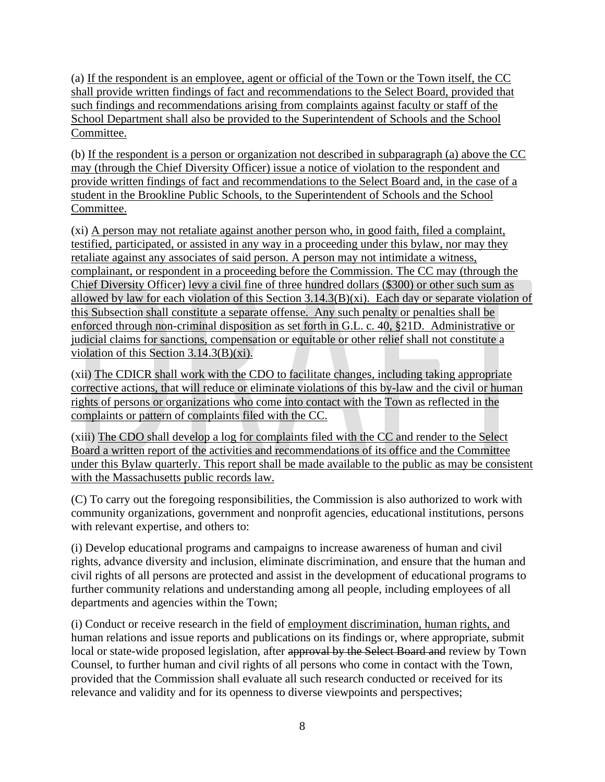(a) If the respondent is an employee, agent or official of the Town or the Town itself, the CC shall provide written findings of fact and recommendations to the Select Board, provided that such findings and recommendations arising from complaints against faculty or staff of the School Department shall also be provided to the Superintendent of Schools and the School Committee.

(b) If the respondent is a person or organization not described in subparagraph (a) above the CC may (through the Chief Diversity Officer) issue a notice of violation to the respondent and provide written findings of fact and recommendations to the Select Board and, in the case of a student in the Brookline Public Schools, to the Superintendent of Schools and the School Committee.

(xi) A person may not retaliate against another person who, in good faith, filed a complaint, testified, participated, or assisted in any way in a proceeding under this bylaw, nor may they retaliate against any associates of said person. A person may not intimidate a witness, complainant, or respondent in a proceeding before the Commission. The CC may (through the Chief Diversity Officer) levy a civil fine of three hundred dollars (\$300) or other such sum as allowed by law for each violation of this Section 3.14.3(B)(xi). Each day or separate violation of this Subsection shall constitute a separate offense. Any such penalty or penalties shall be enforced through non-criminal disposition as set forth in G.L. c. 40, §21D. Administrative or judicial claims for sanctions, compensation or equitable or other relief shall not constitute a violation of this Section 3.14.3(B)(xi).

(xii) The CDICR shall work with the CDO to facilitate changes, including taking appropriate corrective actions, that will reduce or eliminate violations of this by-law and the civil or human rights of persons or organizations who come into contact with the Town as reflected in the complaints or pattern of complaints filed with the CC.

(xiii) The CDO shall develop a log for complaints filed with the CC and render to the Select Board a written report of the activities and recommendations of its office and the Committee under this Bylaw quarterly. This report shall be made available to the public as may be consistent with the Massachusetts public records law.

(C) To carry out the foregoing responsibilities, the Commission is also authorized to work with community organizations, government and nonprofit agencies, educational institutions, persons with relevant expertise, and others to:

(i) Develop educational programs and campaigns to increase awareness of human and civil rights, advance diversity and inclusion, eliminate discrimination, and ensure that the human and civil rights of all persons are protected and assist in the development of educational programs to further community relations and understanding among all people, including employees of all departments and agencies within the Town;

(i) Conduct or receive research in the field of employment discrimination, human rights, and human relations and issue reports and publications on its findings or, where appropriate, submit local or state-wide proposed legislation, after approval by the Select Board and review by Town Counsel, to further human and civil rights of all persons who come in contact with the Town, provided that the Commission shall evaluate all such research conducted or received for its relevance and validity and for its openness to diverse viewpoints and perspectives;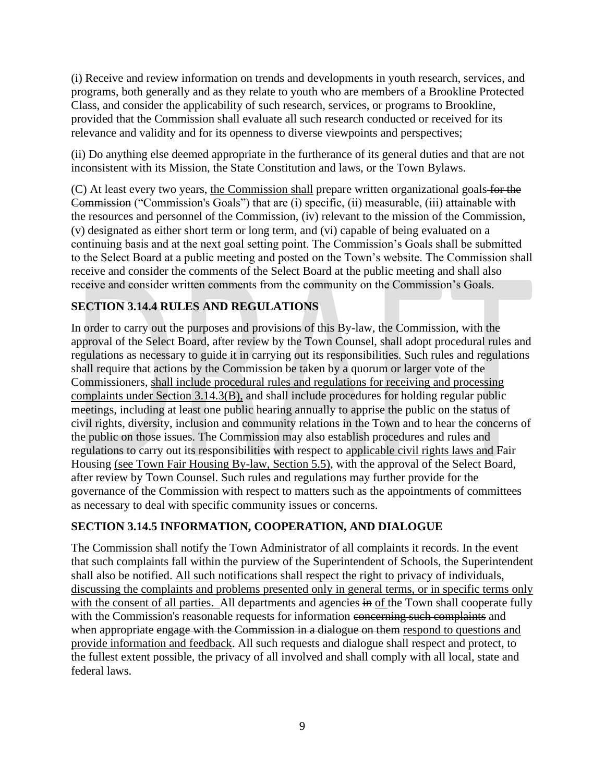(i) Receive and review information on trends and developments in youth research, services, and programs, both generally and as they relate to youth who are members of a Brookline Protected Class, and consider the applicability of such research, services, or programs to Brookline, provided that the Commission shall evaluate all such research conducted or received for its relevance and validity and for its openness to diverse viewpoints and perspectives;

(ii) Do anything else deemed appropriate in the furtherance of its general duties and that are not inconsistent with its Mission, the State Constitution and laws, or the Town Bylaws.

(C) At least every two years, the Commission shall prepare written organizational goals for the Commission ("Commission's Goals") that are (i) specific, (ii) measurable, (iii) attainable with the resources and personnel of the Commission, (iv) relevant to the mission of the Commission, (v) designated as either short term or long term, and (vi) capable of being evaluated on a continuing basis and at the next goal setting point. The Commission's Goals shall be submitted to the Select Board at a public meeting and posted on the Town's website. The Commission shall receive and consider the comments of the Select Board at the public meeting and shall also receive and consider written comments from the community on the Commission's Goals.

## **SECTION 3.14.4 RULES AND REGULATIONS**

In order to carry out the purposes and provisions of this By-law, the Commission, with the approval of the Select Board, after review by the Town Counsel, shall adopt procedural rules and regulations as necessary to guide it in carrying out its responsibilities. Such rules and regulations shall require that actions by the Commission be taken by a quorum or larger vote of the Commissioners, shall include procedural rules and regulations for receiving and processing complaints under Section 3.14.3(B), and shall include procedures for holding regular public meetings, including at least one public hearing annually to apprise the public on the status of civil rights, diversity, inclusion and community relations in the Town and to hear the concerns of the public on those issues. The Commission may also establish procedures and rules and regulations to carry out its responsibilities with respect to applicable civil rights laws and Fair Housing (see Town Fair Housing By-law, Section 5.5), with the approval of the Select Board, after review by Town Counsel. Such rules and regulations may further provide for the governance of the Commission with respect to matters such as the appointments of committees as necessary to deal with specific community issues or concerns.

## **SECTION 3.14.5 INFORMATION, COOPERATION, AND DIALOGUE**

The Commission shall notify the Town Administrator of all complaints it records. In the event that such complaints fall within the purview of the Superintendent of Schools, the Superintendent shall also be notified. All such notifications shall respect the right to privacy of individuals, discussing the complaints and problems presented only in general terms, or in specific terms only with the consent of all parties. All departments and agencies in of the Town shall cooperate fully with the Commission's reasonable requests for information concerning such complaints and when appropriate engage with the Commission in a dialogue on them respond to questions and provide information and feedback. All such requests and dialogue shall respect and protect, to the fullest extent possible, the privacy of all involved and shall comply with all local, state and federal laws.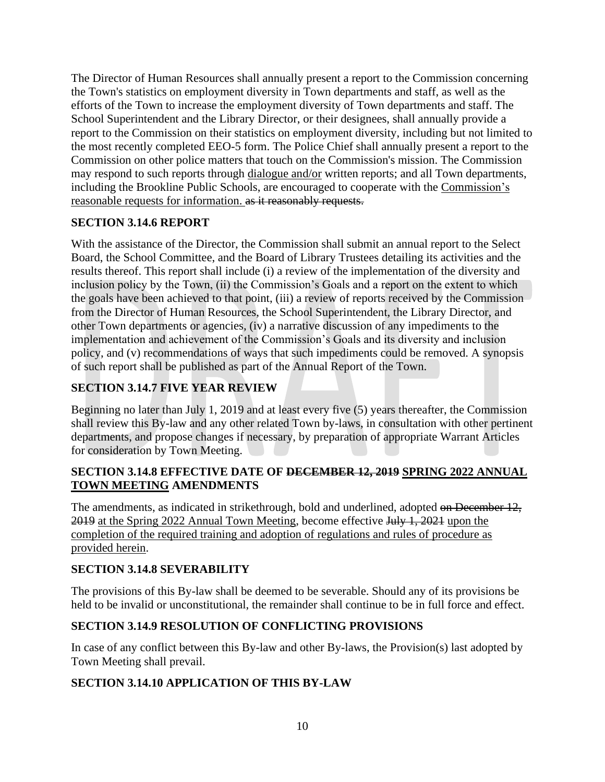The Director of Human Resources shall annually present a report to the Commission concerning the Town's statistics on employment diversity in Town departments and staff, as well as the efforts of the Town to increase the employment diversity of Town departments and staff. The School Superintendent and the Library Director, or their designees, shall annually provide a report to the Commission on their statistics on employment diversity, including but not limited to the most recently completed EEO-5 form. The Police Chief shall annually present a report to the Commission on other police matters that touch on the Commission's mission. The Commission may respond to such reports through dialogue and/or written reports; and all Town departments, including the Brookline Public Schools, are encouraged to cooperate with the Commission's reasonable requests for information. as it reasonably requests.

## **SECTION 3.14.6 REPORT**

With the assistance of the Director, the Commission shall submit an annual report to the Select Board, the School Committee, and the Board of Library Trustees detailing its activities and the results thereof. This report shall include (i) a review of the implementation of the diversity and inclusion policy by the Town, (ii) the Commission's Goals and a report on the extent to which the goals have been achieved to that point, (iii) a review of reports received by the Commission from the Director of Human Resources, the School Superintendent, the Library Director, and other Town departments or agencies, (iv) a narrative discussion of any impediments to the implementation and achievement of the Commission's Goals and its diversity and inclusion policy, and (v) recommendations of ways that such impediments could be removed. A synopsis of such report shall be published as part of the Annual Report of the Town.

# **SECTION 3.14.7 FIVE YEAR REVIEW**

Beginning no later than July 1, 2019 and at least every five (5) years thereafter, the Commission shall review this By-law and any other related Town by-laws, in consultation with other pertinent departments, and propose changes if necessary, by preparation of appropriate Warrant Articles for consideration by Town Meeting.

#### **SECTION 3.14.8 EFFECTIVE DATE OF DECEMBER 12, 2019 SPRING 2022 ANNUAL TOWN MEETING AMENDMENTS**

The amendments, as indicated in strikethrough, bold and underlined, adopted on December 12, 2019 at the Spring 2022 Annual Town Meeting, become effective July 1, 2021 upon the completion of the required training and adoption of regulations and rules of procedure as provided herein.

## **SECTION 3.14.8 SEVERABILITY**

The provisions of this By-law shall be deemed to be severable. Should any of its provisions be held to be invalid or unconstitutional, the remainder shall continue to be in full force and effect.

## **SECTION 3.14.9 RESOLUTION OF CONFLICTING PROVISIONS**

In case of any conflict between this By-law and other By-laws, the Provision(s) last adopted by Town Meeting shall prevail.

## **SECTION 3.14.10 APPLICATION OF THIS BY-LAW**